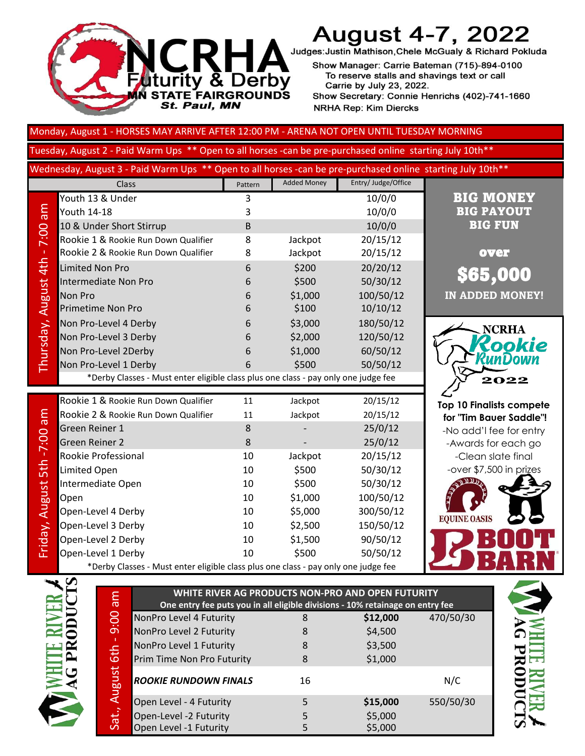

# **August 4-7, 2022**

Judges: Justin Mathison, Chele McGualy & Richard Pokluda

Show Manager: Carrie Bateman (715)-894-0100 To reserve stalls and shavings text or call Carrie by July 23, 2022. Show Secretary: Connie Henrichs (402)-741-1660 **NRHA Rep: Kim Diercks** 

Monday, August 1 - HORSES MAY ARRIVE AFTER 12:00 PM - ARENA NOT OPEN UNTIL TUESDAY MORNING

Tuesday, August 2 - Paid Warm Ups \*\* Open to all horses -can be pre-purchased online starting July 10th\*\*

Wednesday, August 3 - Paid Warm Ups \*\* Open to all horses -can be pre-purchased online starting July 10th\*\*

|                        | Class                                                                              | Pattern  | <b>Added Money</b> | Entry/ Judge/Office  |
|------------------------|------------------------------------------------------------------------------------|----------|--------------------|----------------------|
|                        | Youth 13 & Under                                                                   | 3        |                    | 10/0/0               |
| me                     | <b>Youth 14-18</b>                                                                 | 3        |                    | 10/0/0               |
|                        | 10 & Under Short Stirrup                                                           | B        |                    | 10/0/0               |
| 7:00                   | Rookie 1 & Rookie Run Down Qualifier                                               | 8        | Jackpot            | 20/15/12             |
|                        | Rookie 2 & Rookie Run Down Qualifier                                               | 8        | Jackpot            | 20/15/12             |
|                        | <b>Limited Non Pro</b>                                                             | 6        | \$200              | 20/20/12             |
|                        | <b>Intermediate Non Pro</b>                                                        | 6        | \$500              | 50/30/12             |
|                        | <b>Non Pro</b>                                                                     | 6        | \$1,000            | 100/50/12            |
|                        | Primetime Non Pro                                                                  | 6        | \$100              | 10/10/12             |
|                        | Non Pro-Level 4 Derby                                                              | 6        | \$3,000            | 180/50/12            |
|                        | Non Pro-Level 3 Derby                                                              | 6        | \$2,000            | 120/50/12            |
| Thursday, August 4th - | Non Pro-Level 2Derby                                                               | 6        | \$1,000            | 60/50/12             |
|                        | Non Pro-Level 1 Derby                                                              | 6        | \$500              | 50/50/12             |
|                        | *Derby Classes - Must enter eligible class plus one class - pay only one judge fee |          |                    |                      |
|                        |                                                                                    |          |                    |                      |
|                        |                                                                                    |          |                    |                      |
|                        | Rookie 1 & Rookie Run Down Qualifier                                               | 11       | Jackpot            | 20/15/12             |
| me                     | Rookie 2 & Rookie Run Down Qualifier                                               | 11       | Jackpot            | 20/15/12             |
|                        | Green Reiner 1                                                                     | 8        |                    | 25/0/12              |
|                        | <b>Green Reiner 2</b>                                                              | 8        |                    | 25/0/12              |
|                        | Rookie Professional                                                                | 10       | Jackpot            | 20/15/12             |
| 5th-7:00               | Limited Open                                                                       | 10       | \$500              | 50/30/12             |
|                        | Intermediate Open                                                                  | 10       | \$500              | 50/30/12             |
|                        | Open                                                                               | 10       | \$1,000            | 100/50/12            |
|                        | Open-Level 4 Derby                                                                 | 10       | \$5,000            | 300/50/12            |
|                        | Open-Level 3 Derby                                                                 | 10       | \$2,500            | 150/50/12            |
| Friday, August         | Open-Level 2 Derby<br>Open-Level 1 Derby                                           | 10<br>10 | \$1,500<br>\$500   | 90/50/12<br>50/50/12 |

|                | Rookie 1 & Rookie Run Down Qualifier                                               | 11 | Jackpot | 20/15/12  |
|----------------|------------------------------------------------------------------------------------|----|---------|-----------|
| $\frac{1}{2}$  | Rookie 2 & Rookie Run Down Qualifier                                               | 11 | Jackpot | 20/15/12  |
|                | Green Reiner 1                                                                     | 8  |         | 25/0/12   |
| n.             | Green Reiner 2                                                                     | 8  |         | 25/0/12   |
|                | Rookie Professional                                                                | 10 | Jackpot | 20/15/12  |
| ווו -<br>סנוו  | Limited Open                                                                       | 10 | \$500   | 50/30/12  |
|                | Intermediate Open                                                                  | 10 | \$500   | 50/30/12  |
|                | Open                                                                               | 10 | \$1,000 | 100/50/12 |
|                | Open-Level 4 Derby                                                                 | 10 | \$5,000 | 300/50/12 |
| riiday, August | Open-Level 3 Derby                                                                 | 10 | \$2,500 | 150/50/12 |
|                | Open-Level 2 Derby                                                                 | 10 | \$1,500 | 90/50/12  |
|                | Open-Level 1 Derby                                                                 | 10 | \$500   | 50/50/12  |
|                | *Derby Classes - Must enter eligible class plus one class - pay only one judge fee |    |         |           |



over

BIG MONEY BIG PAYOUT BIG FUN

**IN ADDED MONEY!**

\$65,000

**Top 10 Finalists compete for "Tim Bauer Saddle"!**  -No add'l fee for entry -Awards for each go -Clean slate final -over \$7,500 in prizes





Sat., August 6th - 9:00 am

Sat., August 6th - 9:00 am

| WHITE RIVER AG PRODUCTS NON-PRO AND OPEN FUTURITY                             |    |          |           |  |
|-------------------------------------------------------------------------------|----|----------|-----------|--|
| One entry fee puts you in all eligible divisions - 10% retainage on entry fee |    |          |           |  |
| NonPro Level 4 Futurity                                                       | 8  | \$12,000 | 470/50/30 |  |
| NonPro Level 2 Futurity                                                       | 8  | \$4,500  |           |  |
| NonPro Level 1 Futurity                                                       | 8  | \$3,500  |           |  |
| Prim Time Non Pro Futurity                                                    | 8  | \$1,000  |           |  |
| <b>ROOKIE RUNDOWN FINALS</b>                                                  | 16 |          | N/C       |  |
| Open Level - 4 Futurity                                                       | 5  | \$15,000 | 550/50/30 |  |
| Open-Level -2 Futurity                                                        | 5  | \$5,000  |           |  |
| Open Level -1 Futurity                                                        |    | \$5,000  |           |  |